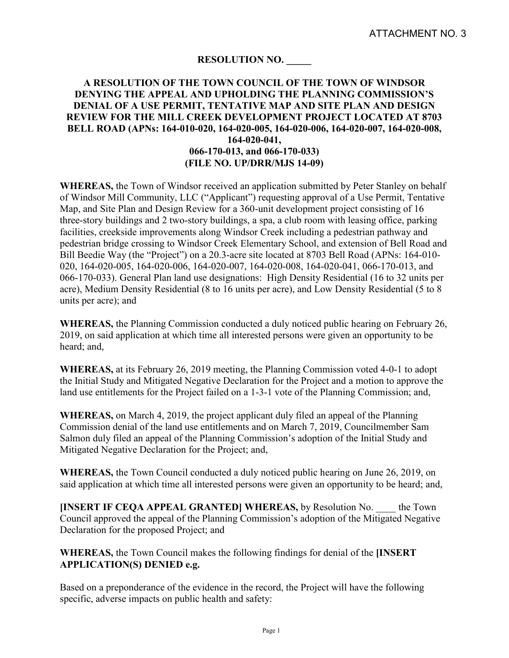## **RESOLUTION NO. \_\_\_\_\_**

## **A RESOLUTION OF THE TOWN COUNCIL OF THE TOWN OF WINDSOR DENYING THE APPEAL AND UPHOLDING THE PLANNING COMMISSION'S DENIAL OF A USE PERMIT, TENTATIVE MAP AND SITE PLAN AND DESIGN REVIEW FOR THE MILL CREEK DEVELOPMENT PROJECT LOCATED AT 8703 BELL ROAD (APNs: 164-010-020, 164-020-005, 164-020-006, 164-020-007, 164-020-008, 164-020-041, 066-170-013, and 066-170-033) (FILE NO. UP/DRR/MJS 14-09)**

**WHEREAS,** the Town of Windsor received an application submitted by Peter Stanley on behalf of Windsor Mill Community, LLC ("Applicant") requesting approval of a Use Permit, Tentative Map, and Site Plan and Design Review for a 360-unit development project consisting of 16 three-story buildings and 2 two-story buildings, a spa, a club room with leasing office, parking facilities, creekside improvements along Windsor Creek including a pedestrian pathway and pedestrian bridge crossing to Windsor Creek Elementary School, and extension of Bell Road and Bill Beedie Way (the "Project") on a 20.3-acre site located at 8703 Bell Road (APNs: 164-010- 020, 164-020-005, 164-020-006, 164-020-007, 164-020-008, 164-020-041, 066-170-013, and 066-170-033). General Plan land use designations: High Density Residential (16 to 32 units per acre), Medium Density Residential (8 to 16 units per acre), and Low Density Residential (5 to 8 units per acre); and

**WHEREAS,** the Planning Commission conducted a duly noticed public hearing on February 26, 2019, on said application at which time all interested persons were given an opportunity to be heard; and,

**WHEREAS,** at its February 26, 2019 meeting, the Planning Commission voted 4-0-1 to adopt the Initial Study and Mitigated Negative Declaration for the Project and a motion to approve the land use entitlements for the Project failed on a 1-3-1 vote of the Planning Commission; and,

**WHEREAS,** on March 4, 2019, the project applicant duly filed an appeal of the Planning Commission denial of the land use entitlements and on March 7, 2019, Councilmember Sam Salmon duly filed an appeal of the Planning Commission's adoption of the Initial Study and Mitigated Negative Declaration for the Project; and,

**WHEREAS,** the Town Council conducted a duly noticed public hearing on June 26, 2019, on said application at which time all interested persons were given an opportunity to be heard; and,

**[INSERT IF CEQA APPEAL GRANTED] WHEREAS,** by Resolution No. \_\_\_\_ the Town Council approved the appeal of the Planning Commission's adoption of the Mitigated Negative Declaration for the proposed Project; and

## **WHEREAS,** the Town Council makes the following findings for denial of the **[INSERT APPLICATION(S) DENIED e.g.**

Based on a preponderance of the evidence in the record, the Project will have the following specific, adverse impacts on public health and safety: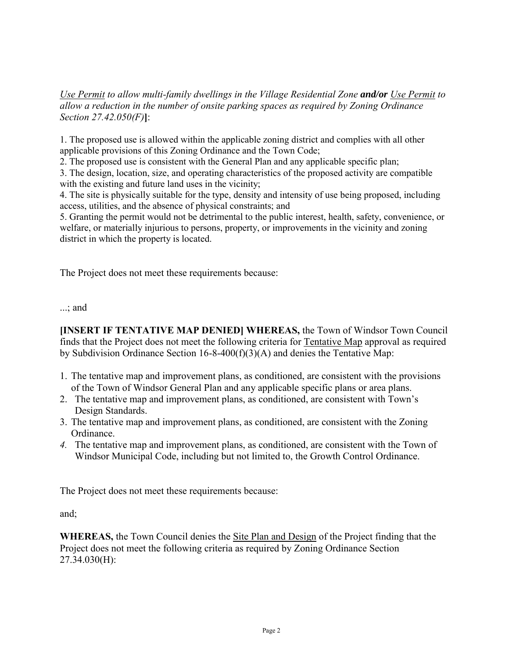*Use Permit to allow multi-family dwellings in the Village Residential Zone and/or Use Permit to allow a reduction in the number of onsite parking spaces as required by Zoning Ordinance Section 27.42.050(F)***]**:

1. The proposed use is allowed within the applicable zoning district and complies with all other applicable provisions of this Zoning Ordinance and the Town Code;

2. The proposed use is consistent with the General Plan and any applicable specific plan;

3. The design, location, size, and operating characteristics of the proposed activity are compatible with the existing and future land uses in the vicinity;

4. The site is physically suitable for the type, density and intensity of use being proposed, including access, utilities, and the absence of physical constraints; and

5. Granting the permit would not be detrimental to the public interest, health, safety, convenience, or welfare, or materially injurious to persons, property, or improvements in the vicinity and zoning district in which the property is located.

The Project does not meet these requirements because:

...; and

**[INSERT IF TENTATIVE MAP DENIED] WHEREAS,** the Town of Windsor Town Council finds that the Project does not meet the following criteria for Tentative Map approval as required by Subdivision Ordinance Section 16-8-400(f)(3)(A) and denies the Tentative Map:

- 1. The tentative map and improvement plans, as conditioned, are consistent with the provisions of the Town of Windsor General Plan and any applicable specific plans or area plans.
- 2. The tentative map and improvement plans, as conditioned, are consistent with Town's Design Standards.
- 3. The tentative map and improvement plans, as conditioned, are consistent with the Zoning Ordinance.
- *4.* The tentative map and improvement plans, as conditioned, are consistent with the Town of Windsor Municipal Code, including but not limited to, the Growth Control Ordinance.

The Project does not meet these requirements because:

and;

**WHEREAS,** the Town Council denies the Site Plan and Design of the Project finding that the Project does not meet the following criteria as required by Zoning Ordinance Section 27.34.030(H):